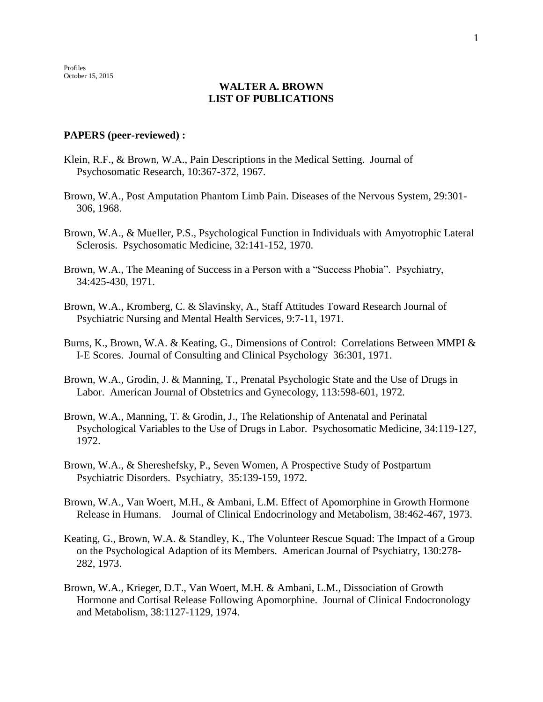## **WALTER A. BROWN LIST OF PUBLICATIONS**

## **PAPERS (peer-reviewed) :**

- Klein, R.F., & Brown, W.A., Pain Descriptions in the Medical Setting. Journal of Psychosomatic Research, 10:367-372, 1967.
- Brown, W.A., Post Amputation Phantom Limb Pain. Diseases of the Nervous System, 29:301- 306, 1968.
- Brown, W.A., & Mueller, P.S., Psychological Function in Individuals with Amyotrophic Lateral Sclerosis. Psychosomatic Medicine, 32:141-152, 1970.
- Brown, W.A., The Meaning of Success in a Person with a "Success Phobia". Psychiatry, 34:425-430, 1971.
- Brown, W.A., Kromberg, C. & Slavinsky, A., Staff Attitudes Toward Research Journal of Psychiatric Nursing and Mental Health Services, 9:7-11, 1971.
- Burns, K., Brown, W.A. & Keating, G., Dimensions of Control: Correlations Between MMPI & I-E Scores. Journal of Consulting and Clinical Psychology 36:301, 1971.
- Brown, W.A., Grodin, J. & Manning, T., Prenatal Psychologic State and the Use of Drugs in Labor. American Journal of Obstetrics and Gynecology, 113:598-601, 1972.
- Brown, W.A., Manning, T. & Grodin, J., The Relationship of Antenatal and Perinatal Psychological Variables to the Use of Drugs in Labor. Psychosomatic Medicine, 34:119-127, 1972.
- Brown, W.A., & Shereshefsky, P., Seven Women, A Prospective Study of Postpartum Psychiatric Disorders. Psychiatry, 35:139-159, 1972.
- Brown, W.A., Van Woert, M.H., & Ambani, L.M. Effect of Apomorphine in Growth Hormone Release in Humans. Journal of Clinical Endocrinology and Metabolism, 38:462-467, 1973.
- Keating, G., Brown, W.A. & Standley, K., The Volunteer Rescue Squad: The Impact of a Group on the Psychological Adaption of its Members. American Journal of Psychiatry, 130:278- 282, 1973.
- Brown, W.A., Krieger, D.T., Van Woert, M.H. & Ambani, L.M., Dissociation of Growth Hormone and Cortisal Release Following Apomorphine. Journal of Clinical Endocronology and Metabolism, 38:1127-1129, 1974.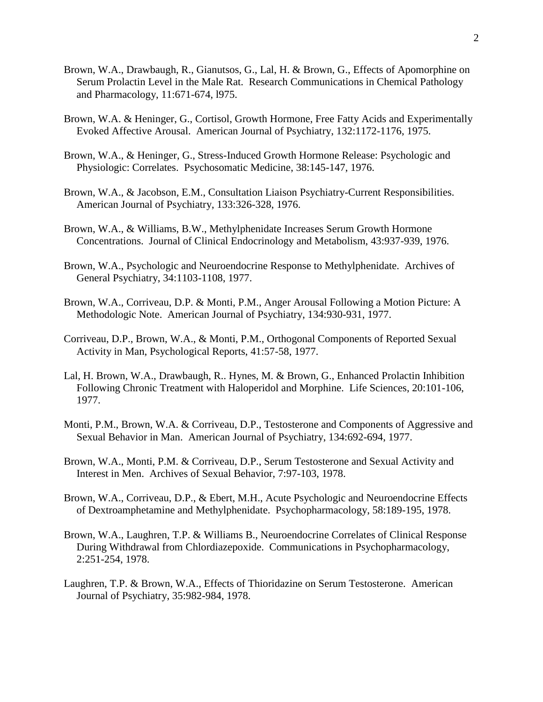- Brown, W.A., Drawbaugh, R., Gianutsos, G., Lal, H. & Brown, G., Effects of Apomorphine on Serum Prolactin Level in the Male Rat. Research Communications in Chemical Pathology and Pharmacology, 11:671-674, l975.
- Brown, W.A. & Heninger, G., Cortisol, Growth Hormone, Free Fatty Acids and Experimentally Evoked Affective Arousal. American Journal of Psychiatry, 132:1172-1176, 1975.
- Brown, W.A., & Heninger, G., Stress-Induced Growth Hormone Release: Psychologic and Physiologic: Correlates. Psychosomatic Medicine, 38:145-147, 1976.
- Brown, W.A., & Jacobson, E.M., Consultation Liaison Psychiatry-Current Responsibilities. American Journal of Psychiatry, 133:326-328, 1976.
- Brown, W.A., & Williams, B.W., Methylphenidate Increases Serum Growth Hormone Concentrations. Journal of Clinical Endocrinology and Metabolism, 43:937-939, 1976.
- Brown, W.A., Psychologic and Neuroendocrine Response to Methylphenidate. Archives of General Psychiatry, 34:1103-1108, 1977.
- Brown, W.A., Corriveau, D.P. & Monti, P.M., Anger Arousal Following a Motion Picture: A Methodologic Note. American Journal of Psychiatry, 134:930-931, 1977.
- Corriveau, D.P., Brown, W.A., & Monti, P.M., Orthogonal Components of Reported Sexual Activity in Man, Psychological Reports, 41:57-58, 1977.
- Lal, H. Brown, W.A., Drawbaugh, R.. Hynes, M. & Brown, G., Enhanced Prolactin Inhibition Following Chronic Treatment with Haloperidol and Morphine. Life Sciences, 20:101-106, 1977.
- Monti, P.M., Brown, W.A. & Corriveau, D.P., Testosterone and Components of Aggressive and Sexual Behavior in Man. American Journal of Psychiatry, 134:692-694, 1977.
- Brown, W.A., Monti, P.M. & Corriveau, D.P., Serum Testosterone and Sexual Activity and Interest in Men. Archives of Sexual Behavior, 7:97-103, 1978.
- Brown, W.A., Corriveau, D.P., & Ebert, M.H., Acute Psychologic and Neuroendocrine Effects of Dextroamphetamine and Methylphenidate. Psychopharmacology, 58:189-195, 1978.
- Brown, W.A., Laughren, T.P. & Williams B., Neuroendocrine Correlates of Clinical Response During Withdrawal from Chlordiazepoxide. Communications in Psychopharmacology, 2:251-254, 1978.
- Laughren, T.P. & Brown, W.A., Effects of Thioridazine on Serum Testosterone. American Journal of Psychiatry, 35:982-984, 1978.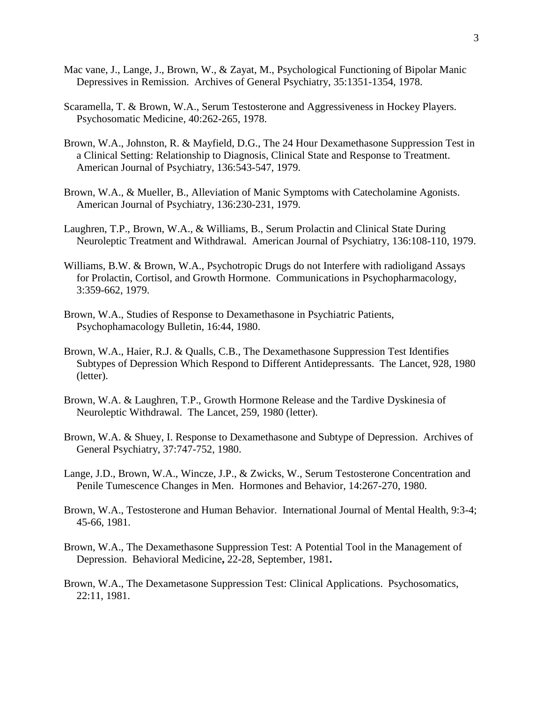- Mac vane, J., Lange, J., Brown, W., & Zayat, M., Psychological Functioning of Bipolar Manic Depressives in Remission. Archives of General Psychiatry, 35:1351-1354, 1978.
- Scaramella, T. & Brown, W.A., Serum Testosterone and Aggressiveness in Hockey Players. Psychosomatic Medicine, 40:262-265, 1978.
- Brown, W.A., Johnston, R. & Mayfield, D.G., The 24 Hour Dexamethasone Suppression Test in a Clinical Setting: Relationship to Diagnosis, Clinical State and Response to Treatment. American Journal of Psychiatry, 136:543-547, 1979.
- Brown, W.A., & Mueller, B., Alleviation of Manic Symptoms with Catecholamine Agonists. American Journal of Psychiatry, 136:230-231, 1979.
- Laughren, T.P., Brown, W.A., & Williams, B., Serum Prolactin and Clinical State During Neuroleptic Treatment and Withdrawal. American Journal of Psychiatry, 136:108-110, 1979.
- Williams, B.W. & Brown, W.A., Psychotropic Drugs do not Interfere with radioligand Assays for Prolactin, Cortisol, and Growth Hormone. Communications in Psychopharmacology, 3:359-662, 1979.
- Brown, W.A., Studies of Response to Dexamethasone in Psychiatric Patients, Psychophamacology Bulletin, 16:44, 1980.
- Brown, W.A., Haier, R.J. & Qualls, C.B., The Dexamethasone Suppression Test Identifies Subtypes of Depression Which Respond to Different Antidepressants. The Lancet, 928, 1980 (letter).
- Brown, W.A. & Laughren, T.P., Growth Hormone Release and the Tardive Dyskinesia of Neuroleptic Withdrawal. The Lancet, 259, 1980 (letter).
- Brown, W.A. & Shuey, I. Response to Dexamethasone and Subtype of Depression. Archives of General Psychiatry, 37:747-752, 1980.
- Lange, J.D., Brown, W.A., Wincze, J.P., & Zwicks, W., Serum Testosterone Concentration and Penile Tumescence Changes in Men. Hormones and Behavior, 14:267-270, 1980.
- Brown, W.A., Testosterone and Human Behavior. International Journal of Mental Health, 9:3-4; 45-66, 1981.
- Brown, W.A., The Dexamethasone Suppression Test: A Potential Tool in the Management of Depression. Behavioral Medicine**,** 22-28, September, 1981**.**
- Brown, W.A., The Dexametasone Suppression Test: Clinical Applications. Psychosomatics, 22:11, 1981.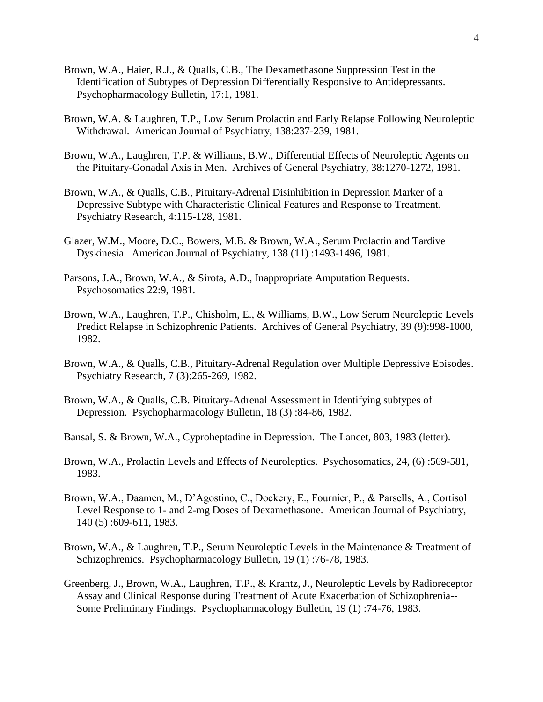- Brown, W.A., Haier, R.J., & Qualls, C.B., The Dexamethasone Suppression Test in the Identification of Subtypes of Depression Differentially Responsive to Antidepressants. Psychopharmacology Bulletin, 17:1, 1981.
- Brown, W.A. & Laughren, T.P., Low Serum Prolactin and Early Relapse Following Neuroleptic Withdrawal. American Journal of Psychiatry, 138:237-239, 1981.
- Brown, W.A., Laughren, T.P. & Williams, B.W., Differential Effects of Neuroleptic Agents on the Pituitary-Gonadal Axis in Men. Archives of General Psychiatry, 38:1270-1272, 1981.
- Brown, W.A., & Qualls, C.B., Pituitary-Adrenal Disinhibition in Depression Marker of a Depressive Subtype with Characteristic Clinical Features and Response to Treatment. Psychiatry Research, 4:115-128, 1981.
- Glazer, W.M., Moore, D.C., Bowers, M.B. & Brown, W.A., Serum Prolactin and Tardive Dyskinesia. American Journal of Psychiatry, 138 (11) :1493-1496, 1981.
- Parsons, J.A., Brown, W.A., & Sirota, A.D., Inappropriate Amputation Requests. Psychosomatics 22:9, 1981.
- Brown, W.A., Laughren, T.P., Chisholm, E., & Williams, B.W., Low Serum Neuroleptic Levels Predict Relapse in Schizophrenic Patients. Archives of General Psychiatry, 39 (9):998-1000, 1982.
- Brown, W.A., & Qualls, C.B., Pituitary-Adrenal Regulation over Multiple Depressive Episodes. Psychiatry Research, 7 (3):265-269, 1982.
- Brown, W.A., & Qualls, C.B. Pituitary-Adrenal Assessment in Identifying subtypes of Depression. Psychopharmacology Bulletin, 18 (3) :84-86, 1982.
- Bansal, S. & Brown, W.A., Cyproheptadine in Depression. The Lancet, 803, 1983 (letter).
- Brown, W.A., Prolactin Levels and Effects of Neuroleptics. Psychosomatics, 24, (6) :569-581, 1983.
- Brown, W.A., Daamen, M., D'Agostino, C., Dockery, E., Fournier, P., & Parsells, A., Cortisol Level Response to 1- and 2-mg Doses of Dexamethasone. American Journal of Psychiatry, 140 (5) :609-611, 1983.
- Brown, W.A., & Laughren, T.P., Serum Neuroleptic Levels in the Maintenance & Treatment of Schizophrenics. Psychopharmacology Bulletin**,** 19 (1) :76-78, 1983.
- Greenberg, J., Brown, W.A., Laughren, T.P., & Krantz, J., Neuroleptic Levels by Radioreceptor Assay and Clinical Response during Treatment of Acute Exacerbation of Schizophrenia-- Some Preliminary Findings. Psychopharmacology Bulletin, 19 (1) :74-76, 1983.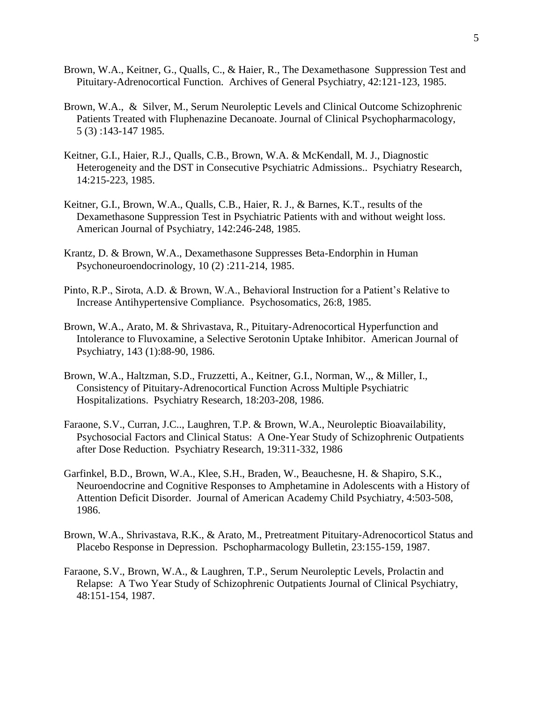- Brown, W.A., Keitner, G., Qualls, C., & Haier, R., The Dexamethasone Suppression Test and Pituitary-Adrenocortical Function. Archives of General Psychiatry, 42:121-123, 1985.
- Brown, W.A., & Silver, M., Serum Neuroleptic Levels and Clinical Outcome Schizophrenic Patients Treated with Fluphenazine Decanoate. Journal of Clinical Psychopharmacology, 5 (3) :143-147 1985.
- Keitner, G.I., Haier, R.J., Qualls, C.B., Brown, W.A. & McKendall, M. J., Diagnostic Heterogeneity and the DST in Consecutive Psychiatric Admissions.. Psychiatry Research, 14:215-223, 1985.
- Keitner, G.I., Brown, W.A., Qualls, C.B., Haier, R. J., & Barnes, K.T., results of the Dexamethasone Suppression Test in Psychiatric Patients with and without weight loss. American Journal of Psychiatry, 142:246-248, 1985.
- Krantz, D. & Brown, W.A., Dexamethasone Suppresses Beta-Endorphin in Human Psychoneuroendocrinology, 10 (2) :211-214, 1985.
- Pinto, R.P., Sirota, A.D. & Brown, W.A., Behavioral Instruction for a Patient's Relative to Increase Antihypertensive Compliance. Psychosomatics, 26:8, 1985.
- Brown, W.A., Arato, M. & Shrivastava, R., Pituitary-Adrenocortical Hyperfunction and Intolerance to Fluvoxamine, a Selective Serotonin Uptake Inhibitor. American Journal of Psychiatry, 143 (1):88-90, 1986.
- Brown, W.A., Haltzman, S.D., Fruzzetti, A., Keitner, G.I., Norman, W.,, & Miller, I., Consistency of Pituitary-Adrenocortical Function Across Multiple Psychiatric Hospitalizations. Psychiatry Research, 18:203-208, 1986.
- Faraone, S.V., Curran, J.C.., Laughren, T.P. & Brown, W.A., Neuroleptic Bioavailability, Psychosocial Factors and Clinical Status: A One-Year Study of Schizophrenic Outpatients after Dose Reduction. Psychiatry Research, 19:311-332, 1986
- Garfinkel, B.D., Brown, W.A., Klee, S.H., Braden, W., Beauchesne, H. & Shapiro, S.K., Neuroendocrine and Cognitive Responses to Amphetamine in Adolescents with a History of Attention Deficit Disorder. Journal of American Academy Child Psychiatry, 4:503-508, 1986.
- Brown, W.A., Shrivastava, R.K., & Arato, M., Pretreatment Pituitary-Adrenocorticol Status and Placebo Response in Depression. Pschopharmacology Bulletin, 23:155-159, 1987.
- Faraone, S.V., Brown, W.A., & Laughren, T.P., Serum Neuroleptic Levels, Prolactin and Relapse: A Two Year Study of Schizophrenic Outpatients Journal of Clinical Psychiatry, 48:151-154, 1987.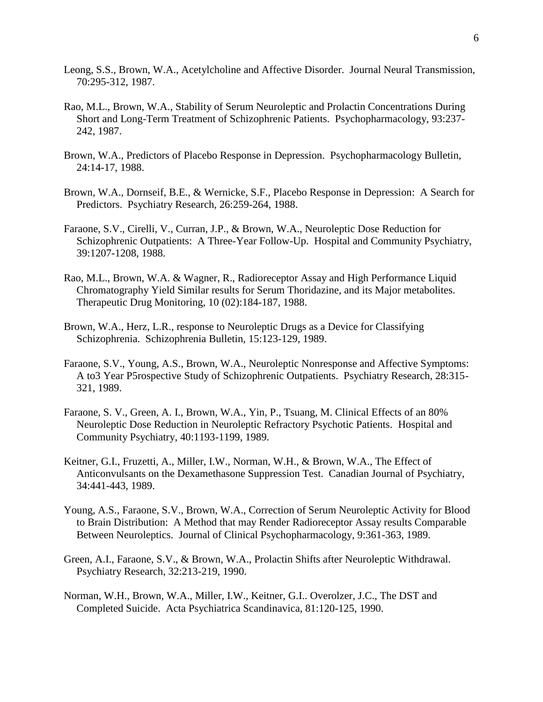- Leong, S.S., Brown, W.A., Acetylcholine and Affective Disorder. Journal Neural Transmission, 70:295-312, 1987.
- Rao, M.L., Brown, W.A., Stability of Serum Neuroleptic and Prolactin Concentrations During Short and Long-Term Treatment of Schizophrenic Patients. Psychopharmacology, 93:237- 242, 1987.
- Brown, W.A., Predictors of Placebo Response in Depression. Psychopharmacology Bulletin, 24:14-17, 1988.
- Brown, W.A., Dornseif, B.E., & Wernicke, S.F., Placebo Response in Depression: A Search for Predictors. Psychiatry Research, 26:259-264, 1988.
- Faraone, S.V., Cirelli, V., Curran, J.P., & Brown, W.A., Neuroleptic Dose Reduction for Schizophrenic Outpatients: A Three-Year Follow-Up. Hospital and Community Psychiatry, 39:1207-1208, 1988.
- Rao, M.L., Brown, W.A. & Wagner, R., Radioreceptor Assay and High Performance Liquid Chromatography Yield Similar results for Serum Thoridazine, and its Major metabolites. Therapeutic Drug Monitoring, 10 (02):184-187, 1988.
- Brown, W.A., Herz, L.R., response to Neuroleptic Drugs as a Device for Classifying Schizophrenia. Schizophrenia Bulletin, 15:123-129, 1989.
- Faraone, S.V., Young, A.S., Brown, W.A., Neuroleptic Nonresponse and Affective Symptoms: A to3 Year P5rospective Study of Schizophrenic Outpatients. Psychiatry Research, 28:315- 321, 1989.
- Faraone, S. V., Green, A. I., Brown, W.A., Yin, P., Tsuang, M. Clinical Effects of an 80% Neuroleptic Dose Reduction in Neuroleptic Refractory Psychotic Patients. Hospital and Community Psychiatry, 40:1193-1199, 1989.
- Keitner, G.I., Fruzetti, A., Miller, I.W., Norman, W.H., & Brown, W.A., The Effect of Anticonvulsants on the Dexamethasone Suppression Test. Canadian Journal of Psychiatry, 34:441-443, 1989.
- Young, A.S., Faraone, S.V., Brown, W.A., Correction of Serum Neuroleptic Activity for Blood to Brain Distribution: A Method that may Render Radioreceptor Assay results Comparable Between Neuroleptics. Journal of Clinical Psychopharmacology, 9:361-363, 1989.
- Green, A.I., Faraone, S.V., & Brown, W.A., Prolactin Shifts after Neuroleptic Withdrawal. Psychiatry Research, 32:213-219, 1990.
- Norman, W.H., Brown, W.A., Miller, I.W., Keitner, G.I.. Overolzer, J.C., The DST and Completed Suicide. Acta Psychiatrica Scandinavica, 81:120-125, 1990.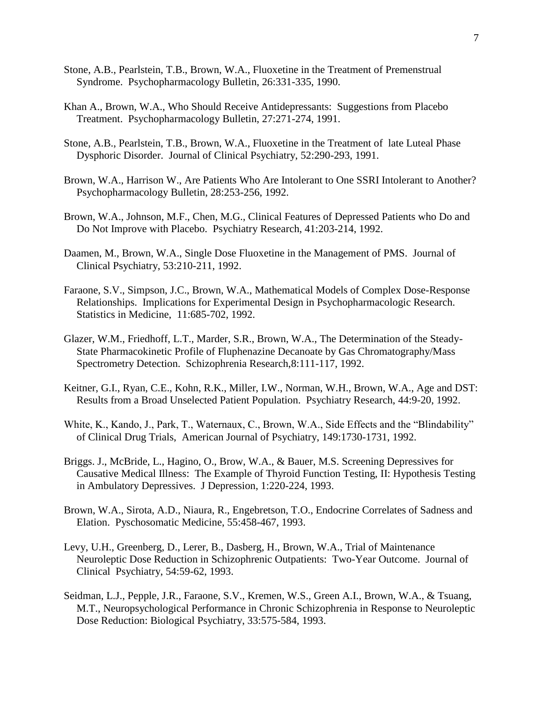- Stone, A.B., Pearlstein, T.B., Brown, W.A., Fluoxetine in the Treatment of Premenstrual Syndrome. Psychopharmacology Bulletin, 26:331-335, 1990.
- Khan A., Brown, W.A., Who Should Receive Antidepressants: Suggestions from Placebo Treatment. Psychopharmacology Bulletin, 27:271-274, 1991.
- Stone, A.B., Pearlstein, T.B., Brown, W.A., Fluoxetine in the Treatment of late Luteal Phase Dysphoric Disorder. Journal of Clinical Psychiatry, 52:290-293, 1991.
- Brown, W.A., Harrison W., Are Patients Who Are Intolerant to One SSRI Intolerant to Another? Psychopharmacology Bulletin, 28:253-256, 1992.
- Brown, W.A., Johnson, M.F., Chen, M.G., Clinical Features of Depressed Patients who Do and Do Not Improve with Placebo. Psychiatry Research, 41:203-214, 1992.
- Daamen, M., Brown, W.A., Single Dose Fluoxetine in the Management of PMS. Journal of Clinical Psychiatry, 53:210-211, 1992.
- Faraone, S.V., Simpson, J.C., Brown, W.A., Mathematical Models of Complex Dose-Response Relationships. Implications for Experimental Design in Psychopharmacologic Research. Statistics in Medicine, 11:685-702, 1992.
- Glazer, W.M., Friedhoff, L.T., Marder, S.R., Brown, W.A., The Determination of the Steady-State Pharmacokinetic Profile of Fluphenazine Decanoate by Gas Chromatography/Mass Spectrometry Detection. Schizophrenia Research,8:111-117, 1992.
- Keitner, G.I., Ryan, C.E., Kohn, R.K., Miller, I.W., Norman, W.H., Brown, W.A., Age and DST: Results from a Broad Unselected Patient Population. Psychiatry Research, 44:9-20, 1992.
- White, K., Kando, J., Park, T., Waternaux, C., Brown, W.A., Side Effects and the "Blindability" of Clinical Drug Trials, American Journal of Psychiatry, 149:1730-1731, 1992.
- Briggs. J., McBride, L., Hagino, O., Brow, W.A., & Bauer, M.S. Screening Depressives for Causative Medical Illness: The Example of Thyroid Function Testing, II: Hypothesis Testing in Ambulatory Depressives. J Depression, 1:220-224, 1993.
- Brown, W.A., Sirota, A.D., Niaura, R., Engebretson, T.O., Endocrine Correlates of Sadness and Elation. Pyschosomatic Medicine, 55:458-467, 1993.
- Levy, U.H., Greenberg, D., Lerer, B., Dasberg, H., Brown, W.A., Trial of Maintenance Neuroleptic Dose Reduction in Schizophrenic Outpatients: Two-Year Outcome. Journal of Clinical Psychiatry, 54:59-62, 1993.
- Seidman, L.J., Pepple, J.R., Faraone, S.V., Kremen, W.S., Green A.I., Brown, W.A., & Tsuang, M.T., Neuropsychological Performance in Chronic Schizophrenia in Response to Neuroleptic Dose Reduction: Biological Psychiatry, 33:575-584, 1993.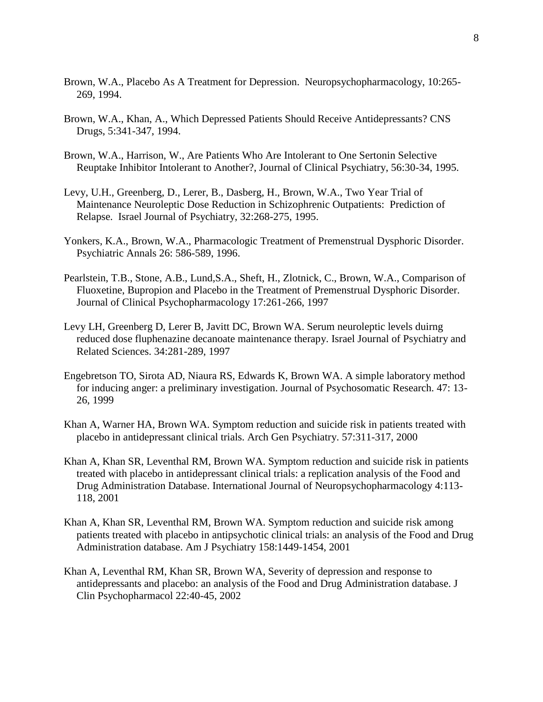- Brown, W.A., Placebo As A Treatment for Depression. Neuropsychopharmacology, 10:265- 269, 1994.
- Brown, W.A., Khan, A., Which Depressed Patients Should Receive Antidepressants? CNS Drugs, 5:341-347, 1994.
- Brown, W.A., Harrison, W., Are Patients Who Are Intolerant to One Sertonin Selective Reuptake Inhibitor Intolerant to Another?, Journal of Clinical Psychiatry, 56:30-34, 1995.
- Levy, U.H., Greenberg, D., Lerer, B., Dasberg, H., Brown, W.A., Two Year Trial of Maintenance Neuroleptic Dose Reduction in Schizophrenic Outpatients: Prediction of Relapse. Israel Journal of Psychiatry, 32:268-275, 1995.
- Yonkers, K.A., Brown, W.A., Pharmacologic Treatment of Premenstrual Dysphoric Disorder. Psychiatric Annals 26: 586-589, 1996.
- Pearlstein, T.B., Stone, A.B., Lund,S.A., Sheft, H., Zlotnick, C., Brown, W.A., Comparison of Fluoxetine, Bupropion and Placebo in the Treatment of Premenstrual Dysphoric Disorder. Journal of Clinical Psychopharmacology 17:261-266, 1997
- Levy LH, Greenberg D, Lerer B, Javitt DC, Brown WA. Serum neuroleptic levels duirng reduced dose fluphenazine decanoate maintenance therapy. Israel Journal of Psychiatry and Related Sciences. 34:281-289, 1997
- Engebretson TO, Sirota AD, Niaura RS, Edwards K, Brown WA. A simple laboratory method for inducing anger: a preliminary investigation. Journal of Psychosomatic Research. 47: 13- 26, 1999
- Khan A, Warner HA, Brown WA. Symptom reduction and suicide risk in patients treated with placebo in antidepressant clinical trials. Arch Gen Psychiatry. 57:311-317, 2000
- Khan A, Khan SR, Leventhal RM, Brown WA. Symptom reduction and suicide risk in patients treated with placebo in antidepressant clinical trials: a replication analysis of the Food and Drug Administration Database. International Journal of Neuropsychopharmacology 4:113- 118, 2001
- Khan A, Khan SR, Leventhal RM, Brown WA. Symptom reduction and suicide risk among patients treated with placebo in antipsychotic clinical trials: an analysis of the Food and Drug Administration database. Am J Psychiatry 158:1449-1454, 2001
- Khan A, Leventhal RM, Khan SR, Brown WA, Severity of depression and response to antidepressants and placebo: an analysis of the Food and Drug Administration database. J Clin Psychopharmacol 22:40-45, 2002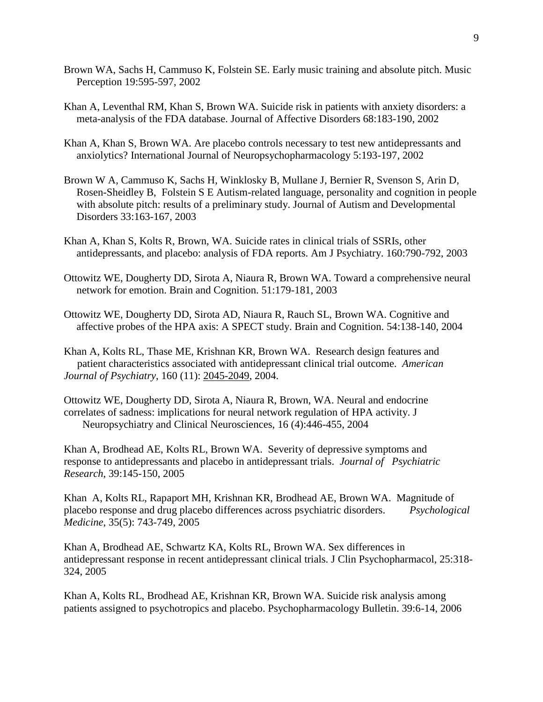- Brown WA, Sachs H, Cammuso K, Folstein SE. Early music training and absolute pitch. Music Perception 19:595-597, 2002
- Khan A, Leventhal RM, Khan S, Brown WA. Suicide risk in patients with anxiety disorders: a meta-analysis of the FDA database. Journal of Affective Disorders 68:183-190, 2002
- Khan A, Khan S, Brown WA. Are placebo controls necessary to test new antidepressants and anxiolytics? International Journal of Neuropsychopharmacology 5:193-197, 2002
- Brown W A, Cammuso K, Sachs H, Winklosky B, Mullane J, Bernier R, Svenson S, Arin D, Rosen-Sheidley B, Folstein S E Autism-related language, personality and cognition in people with absolute pitch: results of a preliminary study. Journal of Autism and Developmental Disorders 33:163-167, 2003
- Khan A, Khan S, Kolts R, Brown, WA. Suicide rates in clinical trials of SSRIs, other antidepressants, and placebo: analysis of FDA reports. Am J Psychiatry. 160:790-792, 2003
- Ottowitz WE, Dougherty DD, Sirota A, Niaura R, Brown WA. Toward a comprehensive neural network for emotion. Brain and Cognition. 51:179-181, 2003
- Ottowitz WE, Dougherty DD, Sirota AD, Niaura R, Rauch SL, Brown WA. Cognitive and affective probes of the HPA axis: A SPECT study. Brain and Cognition. 54:138-140, 2004
- Khan A, Kolts RL, Thase ME, Krishnan KR, Brown WA. Research design features and patient characteristics associated with antidepressant clinical trial outcome. *American Journal of Psychiatry*, 160 (11): 2045-2049, 2004.

Ottowitz WE, Dougherty DD, Sirota A, Niaura R, Brown, WA. Neural and endocrine correlates of sadness: implications for neural network regulation of HPA activity. J Neuropsychiatry and Clinical Neurosciences, 16 (4):446-455, 2004

Khan A, Brodhead AE, Kolts RL, Brown WA. Severity of depressive symptoms and response to antidepressants and placebo in antidepressant trials. *Journal of Psychiatric Research*, 39:145-150, 2005

Khan A, Kolts RL, Rapaport MH, Krishnan KR, Brodhead AE, Brown WA. Magnitude of placebo response and drug placebo differences across psychiatric disorders. *Psychological Medicine*, 35(5): 743-749, 2005

Khan A, Brodhead AE, Schwartz KA, Kolts RL, Brown WA. Sex differences in antidepressant response in recent antidepressant clinical trials. J Clin Psychopharmacol, 25:318- 324, 2005

Khan A, Kolts RL, Brodhead AE, Krishnan KR, Brown WA. Suicide risk analysis among patients assigned to psychotropics and placebo. Psychopharmacology Bulletin. 39:6-14, 2006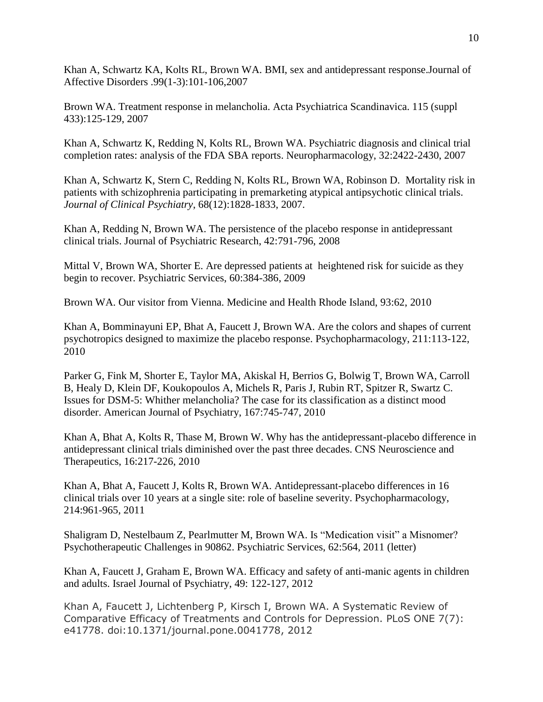Khan A, Schwartz KA, Kolts RL, Brown WA. BMI, sex and antidepressant response.Journal of Affective Disorders .99(1-3):101-106,2007

Brown WA. Treatment response in melancholia. Acta Psychiatrica Scandinavica. 115 (suppl 433):125-129, 2007

Khan A, Schwartz K, Redding N, Kolts RL, Brown WA. Psychiatric diagnosis and clinical trial completion rates: analysis of the FDA SBA reports. Neuropharmacology, 32:2422-2430, 2007

Khan A, Schwartz K, Stern C, Redding N, Kolts RL, Brown WA, Robinson D. Mortality risk in patients with schizophrenia participating in premarketing atypical antipsychotic clinical trials. *Journal of Clinical Psychiatry*, 68(12):1828-1833, 2007.

Khan A, Redding N, Brown WA. The persistence of the placebo response in antidepressant clinical trials. Journal of Psychiatric Research, 42:791-796, 2008

Mittal V, Brown WA, Shorter E. Are depressed patients at heightened risk for suicide as they begin to recover. Psychiatric Services, 60:384-386, 2009

Brown WA. Our visitor from Vienna. Medicine and Health Rhode Island, 93:62, 2010

Khan A, Bomminayuni EP, Bhat A, Faucett J, Brown WA. Are the colors and shapes of current psychotropics designed to maximize the placebo response. Psychopharmacology, 211:113-122, 2010

Parker G, Fink M, Shorter E, Taylor MA, Akiskal H, Berrios G, Bolwig T, Brown WA, Carroll B, Healy D, Klein DF, Koukopoulos A, Michels R, Paris J, Rubin RT, Spitzer R, Swartz C. Issues for DSM-5: Whither melancholia? The case for its classification as a distinct mood disorder. American Journal of Psychiatry, 167:745-747, 2010

Khan A, Bhat A, Kolts R, Thase M, Brown W. Why has the antidepressant-placebo difference in antidepressant clinical trials diminished over the past three decades. CNS Neuroscience and Therapeutics, 16:217-226, 2010

Khan A, Bhat A, Faucett J, Kolts R, Brown WA. Antidepressant-placebo differences in 16 clinical trials over 10 years at a single site: role of baseline severity. Psychopharmacology, 214:961-965, 2011

Shaligram D, Nestelbaum Z, Pearlmutter M, Brown WA. Is "Medication visit" a Misnomer? Psychotherapeutic Challenges in 90862. Psychiatric Services, 62:564, 2011 (letter)

Khan A, Faucett J, Graham E, Brown WA. Efficacy and safety of anti-manic agents in children and adults. Israel Journal of Psychiatry, 49: 122-127, 2012

Khan A, Faucett J, Lichtenberg P, Kirsch I, Brown WA. A Systematic Review of Comparative Efficacy of Treatments and Controls for Depression. PLoS ONE 7(7): e41778. doi:10.1371/journal.pone.0041778, 2012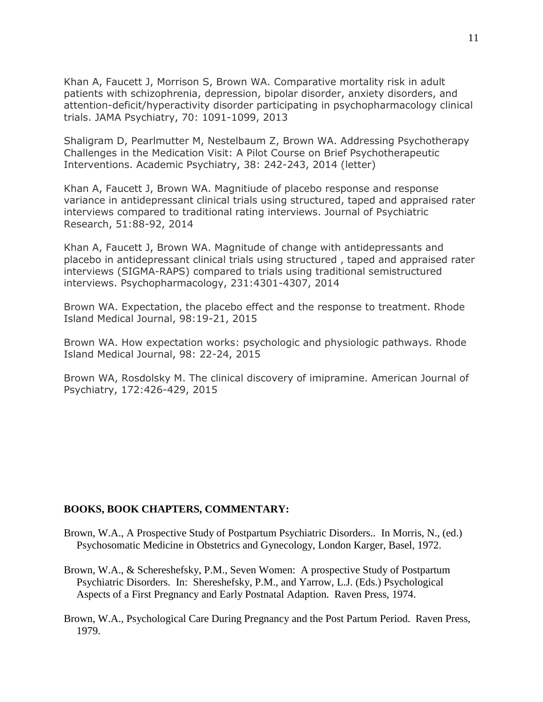Khan A, Faucett J, Morrison S, Brown WA. Comparative mortality risk in adult patients with schizophrenia, depression, bipolar disorder, anxiety disorders, and attention-deficit/hyperactivity disorder participating in psychopharmacology clinical trials. JAMA Psychiatry, 70: 1091-1099, 2013

Shaligram D, Pearlmutter M, Nestelbaum Z, Brown WA. Addressing Psychotherapy Challenges in the Medication Visit: A Pilot Course on Brief Psychotherapeutic Interventions. Academic Psychiatry, 38: 242-243, 2014 (letter)

Khan A, Faucett J, Brown WA. Magnitiude of placebo response and response variance in antidepressant clinical trials using structured, taped and appraised rater interviews compared to traditional rating interviews. Journal of Psychiatric Research, 51:88-92, 2014

Khan A, Faucett J, Brown WA. Magnitude of change with antidepressants and placebo in antidepressant clinical trials using structured , taped and appraised rater interviews (SIGMA-RAPS) compared to trials using traditional semistructured interviews. Psychopharmacology, 231:4301-4307, 2014

Brown WA. Expectation, the placebo effect and the response to treatment. Rhode Island Medical Journal, 98:19-21, 2015

Brown WA. How expectation works: psychologic and physiologic pathways. Rhode Island Medical Journal, 98: 22-24, 2015

Brown WA, Rosdolsky M. The clinical discovery of imipramine. American Journal of Psychiatry, 172:426-429, 2015

## **BOOKS, BOOK CHAPTERS, COMMENTARY:**

- Brown, W.A., A Prospective Study of Postpartum Psychiatric Disorders.. In Morris, N., (ed.) Psychosomatic Medicine in Obstetrics and Gynecology, London Karger, Basel, 1972.
- Brown, W.A., & Schereshefsky, P.M., Seven Women: A prospective Study of Postpartum Psychiatric Disorders. In: Shereshefsky, P.M., and Yarrow, L.J. (Eds.) Psychological Aspects of a First Pregnancy and Early Postnatal Adaption. Raven Press, 1974.
- Brown, W.A., Psychological Care During Pregnancy and the Post Partum Period. Raven Press, 1979.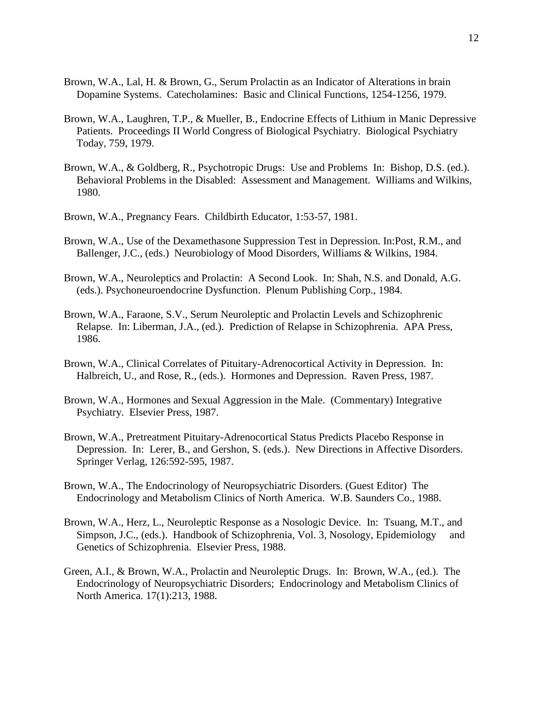- Brown, W.A., Lal, H. & Brown, G., Serum Prolactin as an Indicator of Alterations in brain Dopamine Systems. Catecholamines: Basic and Clinical Functions, 1254-1256, 1979.
- Brown, W.A., Laughren, T.P., & Mueller, B., Endocrine Effects of Lithium in Manic Depressive Patients. Proceedings II World Congress of Biological Psychiatry. Biological Psychiatry Today, 759, 1979.
- Brown, W.A., & Goldberg, R., Psychotropic Drugs: Use and Problems In: Bishop, D.S. (ed.). Behavioral Problems in the Disabled: Assessment and Management. Williams and Wilkins, 1980.
- Brown, W.A., Pregnancy Fears. Childbirth Educator, 1:53-57, 1981.
- Brown, W.A., Use of the Dexamethasone Suppression Test in Depression. In:Post, R.M., and Ballenger, J.C., (eds.) Neurobiology of Mood Disorders, Williams & Wilkins, 1984.
- Brown, W.A., Neuroleptics and Prolactin: A Second Look. In: Shah, N.S. and Donald, A.G. (eds.). Psychoneuroendocrine Dysfunction. Plenum Publishing Corp., 1984.
- Brown, W.A., Faraone, S.V., Serum Neuroleptic and Prolactin Levels and Schizophrenic Relapse. In: Liberman, J.A., (ed.). Prediction of Relapse in Schizophrenia. APA Press, 1986.
- Brown, W.A., Clinical Correlates of Pituitary-Adrenocortical Activity in Depression. In: Halbreich, U., and Rose, R., (eds.). Hormones and Depression. Raven Press, 1987.
- Brown, W.A., Hormones and Sexual Aggression in the Male. (Commentary) Integrative Psychiatry. Elsevier Press, 1987.
- Brown, W.A., Pretreatment Pituitary-Adrenocortical Status Predicts Placebo Response in Depression. In: Lerer, B., and Gershon, S. (eds.). New Directions in Affective Disorders. Springer Verlag, 126:592-595, 1987.
- Brown, W.A., The Endocrinology of Neuropsychiatric Disorders. (Guest Editor) The Endocrinology and Metabolism Clinics of North America. W.B. Saunders Co., 1988.
- Brown, W.A., Herz, L., Neuroleptic Response as a Nosologic Device. In: Tsuang, M.T., and Simpson, J.C., (eds.). Handbook of Schizophrenia, Vol. 3, Nosology, Epidemiology and Genetics of Schizophrenia. Elsevier Press, 1988.
- Green, A.I., & Brown, W.A., Prolactin and Neuroleptic Drugs. In: Brown, W.A., (ed.). The Endocrinology of Neuropsychiatric Disorders; Endocrinology and Metabolism Clinics of North America. 17(1):213, 1988.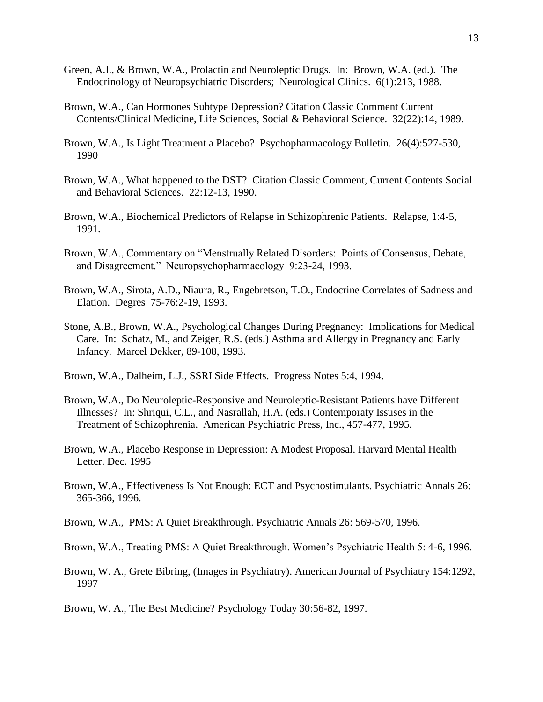- Green, A.I., & Brown, W.A., Prolactin and Neuroleptic Drugs. In: Brown, W.A. (ed.). The Endocrinology of Neuropsychiatric Disorders; Neurological Clinics. 6(1):213, 1988.
- Brown, W.A., Can Hormones Subtype Depression? Citation Classic Comment Current Contents/Clinical Medicine, Life Sciences, Social & Behavioral Science. 32(22):14, 1989.
- Brown, W.A., Is Light Treatment a Placebo? Psychopharmacology Bulletin. 26(4):527-530, 1990
- Brown, W.A., What happened to the DST? Citation Classic Comment, Current Contents Social and Behavioral Sciences. 22:12-13, 1990.
- Brown, W.A., Biochemical Predictors of Relapse in Schizophrenic Patients. Relapse, 1:4-5, 1991.
- Brown, W.A., Commentary on "Menstrually Related Disorders: Points of Consensus, Debate, and Disagreement." Neuropsychopharmacology 9:23-24, 1993.
- Brown, W.A., Sirota, A.D., Niaura, R., Engebretson, T.O., Endocrine Correlates of Sadness and Elation. Degres 75-76:2-19, 1993.
- Stone, A.B., Brown, W.A., Psychological Changes During Pregnancy: Implications for Medical Care. In: Schatz, M., and Zeiger, R.S. (eds.) Asthma and Allergy in Pregnancy and Early Infancy. Marcel Dekker, 89-108, 1993.
- Brown, W.A., Dalheim, L.J., SSRI Side Effects. Progress Notes 5:4, 1994.
- Brown, W.A., Do Neuroleptic-Responsive and Neuroleptic-Resistant Patients have Different Illnesses? In: Shriqui, C.L., and Nasrallah, H.A. (eds.) Contemporaty Issuses in the Treatment of Schizophrenia. American Psychiatric Press, Inc., 457-477, 1995.
- Brown, W.A., Placebo Response in Depression: A Modest Proposal. Harvard Mental Health Letter. Dec. 1995
- Brown, W.A., Effectiveness Is Not Enough: ECT and Psychostimulants. Psychiatric Annals 26: 365-366, 1996.
- Brown, W.A., PMS: A Quiet Breakthrough. Psychiatric Annals 26: 569-570, 1996.

Brown, W.A., Treating PMS: A Quiet Breakthrough. Women's Psychiatric Health 5: 4-6, 1996.

- Brown, W. A., Grete Bibring, (Images in Psychiatry). American Journal of Psychiatry 154:1292, 1997
- Brown, W. A., The Best Medicine? Psychology Today 30:56-82, 1997.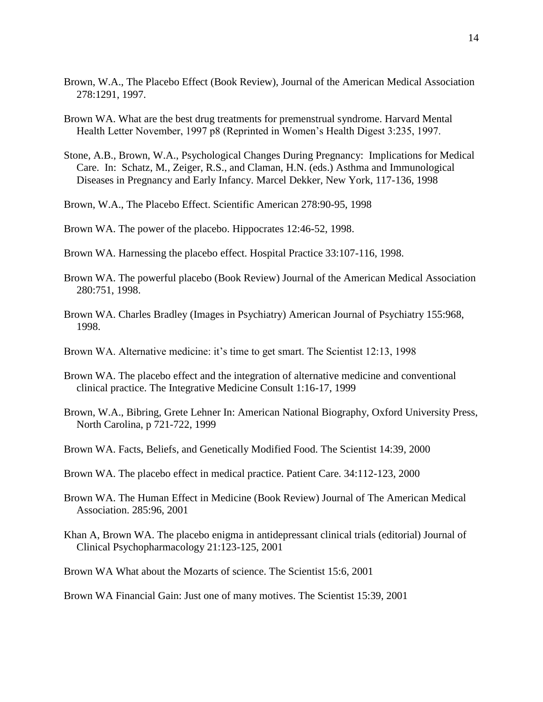- Brown, W.A., The Placebo Effect (Book Review), Journal of the American Medical Association 278:1291, 1997.
- Brown WA. What are the best drug treatments for premenstrual syndrome. Harvard Mental Health Letter November, 1997 p8 (Reprinted in Women's Health Digest 3:235, 1997.
- Stone, A.B., Brown, W.A., Psychological Changes During Pregnancy: Implications for Medical Care. In: Schatz, M., Zeiger, R.S., and Claman, H.N. (eds.) Asthma and Immunological Diseases in Pregnancy and Early Infancy. Marcel Dekker, New York, 117-136, 1998
- Brown, W.A., The Placebo Effect. Scientific American 278:90-95, 1998

Brown WA. The power of the placebo. Hippocrates 12:46-52, 1998.

- Brown WA. Harnessing the placebo effect. Hospital Practice 33:107-116, 1998.
- Brown WA. The powerful placebo (Book Review) Journal of the American Medical Association 280:751, 1998.
- Brown WA. Charles Bradley (Images in Psychiatry) American Journal of Psychiatry 155:968, 1998.
- Brown WA. Alternative medicine: it's time to get smart. The Scientist 12:13, 1998
- Brown WA. The placebo effect and the integration of alternative medicine and conventional clinical practice. The Integrative Medicine Consult 1:16-17, 1999
- Brown, W.A., Bibring, Grete Lehner In: American National Biography, Oxford University Press, North Carolina, p 721-722, 1999
- Brown WA. Facts, Beliefs, and Genetically Modified Food. The Scientist 14:39, 2000
- Brown WA. The placebo effect in medical practice. Patient Care. 34:112-123, 2000
- Brown WA. The Human Effect in Medicine (Book Review) Journal of The American Medical Association. 285:96, 2001
- Khan A, Brown WA. The placebo enigma in antidepressant clinical trials (editorial) Journal of Clinical Psychopharmacology 21:123-125, 2001
- Brown WA What about the Mozarts of science. The Scientist 15:6, 2001
- Brown WA Financial Gain: Just one of many motives. The Scientist 15:39, 2001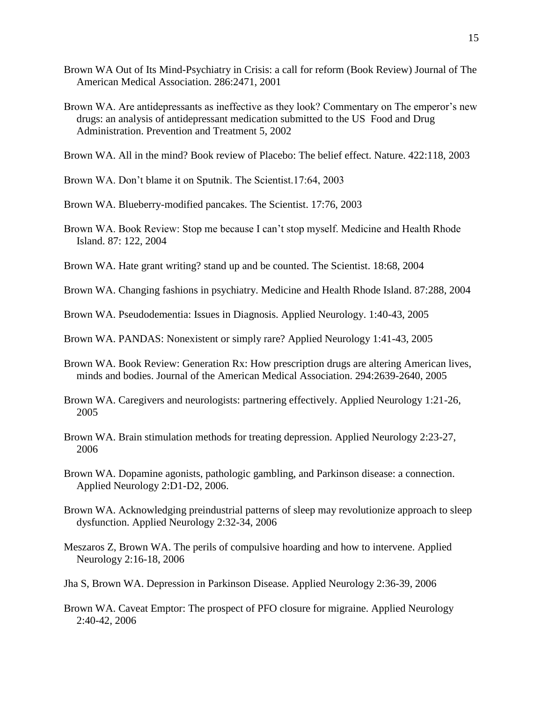- Brown WA Out of Its Mind-Psychiatry in Crisis: a call for reform (Book Review) Journal of The American Medical Association. 286:2471, 2001
- Brown WA. Are antidepressants as ineffective as they look? Commentary on The emperor's new drugs: an analysis of antidepressant medication submitted to the US Food and Drug Administration. Prevention and Treatment 5, 2002
- Brown WA. All in the mind? Book review of Placebo: The belief effect. Nature. 422:118, 2003
- Brown WA. Don't blame it on Sputnik. The Scientist.17:64, 2003
- Brown WA. Blueberry-modified pancakes. The Scientist. 17:76, 2003
- Brown WA. Book Review: Stop me because I can't stop myself. Medicine and Health Rhode Island. 87: 122, 2004
- Brown WA. Hate grant writing? stand up and be counted. The Scientist. 18:68, 2004
- Brown WA. Changing fashions in psychiatry. Medicine and Health Rhode Island. 87:288, 2004
- Brown WA. Pseudodementia: Issues in Diagnosis. Applied Neurology. 1:40-43, 2005
- Brown WA. PANDAS: Nonexistent or simply rare? Applied Neurology 1:41-43, 2005
- Brown WA. Book Review: Generation Rx: How prescription drugs are altering American lives, minds and bodies. Journal of the American Medical Association. 294:2639-2640, 2005
- Brown WA. Caregivers and neurologists: partnering effectively. Applied Neurology 1:21-26, 2005
- Brown WA. Brain stimulation methods for treating depression. Applied Neurology 2:23-27, 2006
- Brown WA. Dopamine agonists, pathologic gambling, and Parkinson disease: a connection. Applied Neurology 2:D1-D2, 2006.
- Brown WA. Acknowledging preindustrial patterns of sleep may revolutionize approach to sleep dysfunction. Applied Neurology 2:32-34, 2006
- Meszaros Z, Brown WA. The perils of compulsive hoarding and how to intervene. Applied Neurology 2:16-18, 2006
- Jha S, Brown WA. Depression in Parkinson Disease. Applied Neurology 2:36-39, 2006
- Brown WA. Caveat Emptor: The prospect of PFO closure for migraine. Applied Neurology 2:40-42, 2006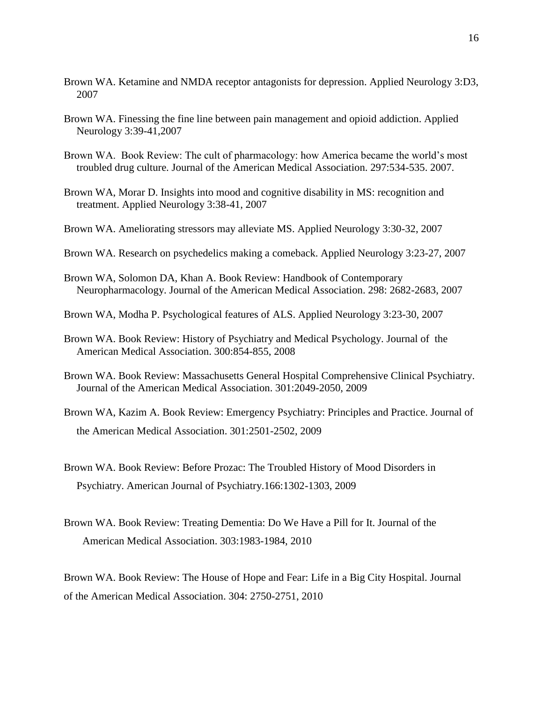- Brown WA. Ketamine and NMDA receptor antagonists for depression. Applied Neurology 3:D3, 2007
- Brown WA. Finessing the fine line between pain management and opioid addiction. Applied Neurology 3:39-41,2007
- Brown WA. Book Review: The cult of pharmacology: how America became the world's most troubled drug culture. Journal of the American Medical Association. 297:534-535. 2007.
- Brown WA, Morar D. Insights into mood and cognitive disability in MS: recognition and treatment. Applied Neurology 3:38-41, 2007
- Brown WA. Ameliorating stressors may alleviate MS. Applied Neurology 3:30-32, 2007
- Brown WA. Research on psychedelics making a comeback. Applied Neurology 3:23-27, 2007
- Brown WA, Solomon DA, Khan A. Book Review: Handbook of Contemporary Neuropharmacology. Journal of the American Medical Association. 298: 2682-2683, 2007
- Brown WA, Modha P. Psychological features of ALS. Applied Neurology 3:23-30, 2007
- Brown WA. Book Review: History of Psychiatry and Medical Psychology. Journal of the American Medical Association. 300:854-855, 2008
- Brown WA. Book Review: Massachusetts General Hospital Comprehensive Clinical Psychiatry. Journal of the American Medical Association. 301:2049-2050, 2009
- Brown WA, Kazim A. Book Review: Emergency Psychiatry: Principles and Practice. Journal of the American Medical Association. 301:2501-2502, 2009
- Brown WA. Book Review: Before Prozac: The Troubled History of Mood Disorders in Psychiatry. American Journal of Psychiatry.166:1302-1303, 2009
- Brown WA. Book Review: Treating Dementia: Do We Have a Pill for It. Journal of the American Medical Association. 303:1983-1984, 2010

Brown WA. Book Review: The House of Hope and Fear: Life in a Big City Hospital. Journal of the American Medical Association. 304: 2750-2751, 2010